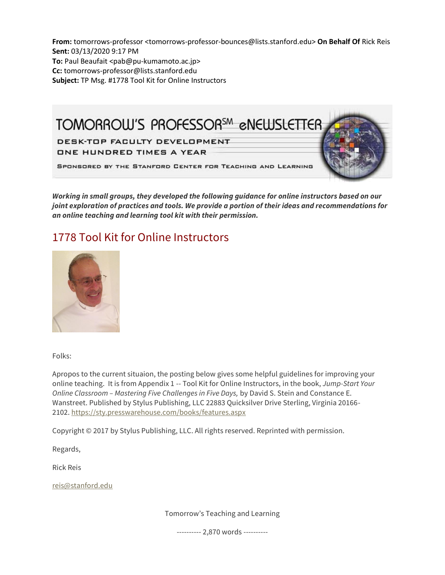**From:** tomorrows-professor <tomorrows-professor-bounces@lists.stanford.edu> **On Behalf Of** Rick Reis **Sent:** 03/13/2020 9:17 PM **To:** Paul Beaufait <pab@pu-kumamoto.ac.jp> **Cc:** tomorrows-professor@lists.stanford.edu **Subject:** TP Msg. #1778 Tool Kit for Online Instructors



*Working in small groups, they developed the following guidance for online instructors based on our joint exploration of practices and tools. We provide a portion of their ideas and recommendations for an online teaching and learning tool kit with their permission.*

# 1778 Tool Kit for Online Instructors



Folks:

Apropos to the current situaion, the posting below gives some helpful guidelines for improving your online teaching. It is from Appendix 1 -- Tool Kit for Online Instructors, in the book, *Jump-Start Your Online Classroom – Mastering Five Challenges in Five Days,* by David S. Stein and Constance E. Wanstreet. Published by Stylus Publishing, LLC 22883 Quicksilver Drive Sterling, Virginia 20166- 2102. [https://sty.presswarehouse.com/books/features.aspx](https://nam05.safelinks.protection.outlook.com/?url=https%3A%2F%2Fsty.presswarehouse.com%2Fbooks%2Ffeatures.aspx&data=02%7C01%7Cjoeg%40pitt.edu%7C78efc7e57134432fc4dd08d7c7b57ec7%7C9ef9f489e0a04eeb87cc3a526112fd0d%7C1%7C0%7C637197454640105652&sdata=ZXLUL%2BvJpBK3idFy7xusXgK4lKO4cM65Cm7CipgwR8c%3D&reserved=0)

Copyright © 2017 by Stylus Publishing, LLC. All rights reserved. Reprinted with permission.

Regards,

Rick Reis

[reis@stanford.edu](mailto:reis@stanford.edu)

Tomorrow's Teaching and Learning

---------- 2,870 words ----------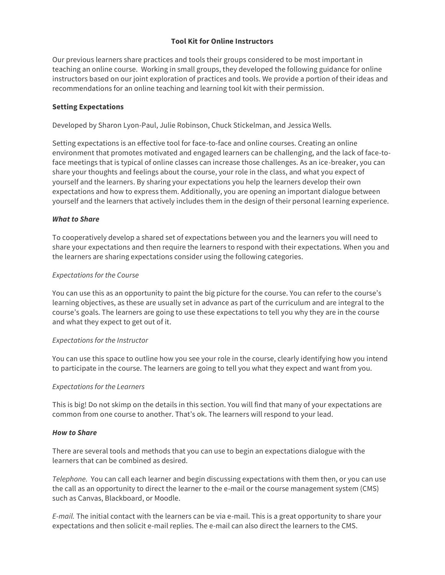# **Tool Kit for Online Instructors**

Our previous learners share practices and tools their groups considered to be most important in teaching an online course. Working in small groups, they developed the following guidance for online instructors based on our joint exploration of practices and tools. We provide a portion of their ideas and recommendations for an online teaching and learning tool kit with their permission.

## **Setting Expectations**

Developed by Sharon Lyon-Paul, Julie Robinson, Chuck Stickelman, and Jessica Wells.

Setting expectations is an effective tool for face-to-face and online courses. Creating an online environment that promotes motivated and engaged learners can be challenging, and the lack of face-toface meetings that is typical of online classes can increase those challenges. As an ice-breaker, you can share your thoughts and feelings about the course, your role in the class, and what you expect of yourself and the learners. By sharing your expectations you help the learners develop their own expectations and how to express them. Additionally, you are opening an important dialogue between yourself and the learners that actively includes them in the design of their personal learning experience.

#### *What to Share*

To cooperatively develop a shared set of expectations between you and the learners you will need to share your expectations and then require the learners to respond with their expectations. When you and the learners are sharing expectations consider using the following categories.

# *Expectations for the Course*

You can use this as an opportunity to paint the big picture for the course. You can refer to the course's learning objectives, as these are usually set in advance as part of the curriculum and are integral to the course's goals. The learners are going to use these expectations to tell you why they are in the course and what they expect to get out of it.

#### *Expectations for the Instructor*

You can use this space to outline how you see your role in the course, clearly identifying how you intend to participate in the course. The learners are going to tell you what they expect and want from you.

#### *Expectations for the Learners*

This is big! Do not skimp on the details in this section. You will find that many of your expectations are common from one course to another. That's ok. The learners will respond to your lead.

#### *How to Share*

There are several tools and methods that you can use to begin an expectations dialogue with the learners that can be combined as desired.

*Telephone.* You can call each learner and begin discussing expectations with them then, or you can use the call as an opportunity to direct the learner to the e-mail or the course management system (CMS) such as Canvas, Blackboard, or Moodle.

*E-mail.* The initial contact with the learners can be via e-mail. This is a great opportunity to share your expectations and then solicit e-mail replies. The e-mail can also direct the learners to the CMS.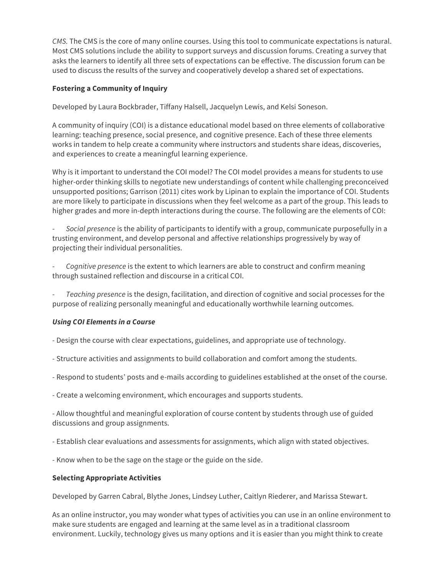*CMS.* The CMS is the core of many online courses. Using this tool to communicate expectations is natural. Most CMS solutions include the ability to support surveys and discussion forums. Creating a survey that asks the learners to identify all three sets of expectations can be effective. The discussion forum can be used to discuss the results of the survey and cooperatively develop a shared set of expectations.

# **Fostering a Community of Inquiry**

Developed by Laura Bockbrader, Tiffany Halsell, Jacquelyn Lewis, and Kelsi Soneson.

A community of inquiry (COI) is a distance educational model based on three elements of collaborative learning: teaching presence, social presence, and cognitive presence. Each of these three elements works in tandem to help create a community where instructors and students share ideas, discoveries, and experiences to create a meaningful learning experience.

Why is it important to understand the COI model? The COI model provides a means for students to use higher-order thinking skills to negotiate new understandings of content while challenging preconceived unsupported positions; Garrison (2011) cites work by Lipinan to explain the importance of COI. Students are more likely to participate in discussions when they feel welcome as a part of the group. This leads to higher grades and more in-depth interactions during the course. The following are the elements of COI:

- *Social presence* is the ability of participants to identify with a group, communicate purposefully in a trusting environment, and develop personal and affective relationships progressively by way of projecting their individual personalities.

- *Cognitive presence* is the extent to which learners are able to construct and confirm meaning through sustained reflection and discourse in a critical COI.

- *Teaching presence* is the design, facilitation, and direction of cognitive and social processes for the purpose of realizing personally meaningful and educationally worthwhile learning outcomes.

#### *Using COI Elements in a Course*

- Design the course with clear expectations, guidelines, and appropriate use of technology.

- Structure activities and assignments to build collaboration and comfort among the students.
- Respond to students' posts and e-mails according to guidelines established at the onset of the course.
- Create a welcoming environment, which encourages and supports students.

- Allow thoughtful and meaningful exploration of course content by students through use of guided discussions and group assignments.

- Establish clear evaluations and assessments for assignments, which align with stated objectives.
- Know when to be the sage on the stage or the guide on the side.

#### **Selecting Appropriate Activities**

Developed by Garren Cabral, Blythe Jones, Lindsey Luther, Caitlyn Riederer, and Marissa Stewart.

As an online instructor, you may wonder what types of activities you can use in an online environment to make sure students are engaged and learning at the same level as in a traditional classroom environment. Luckily, technology gives us many options and it is easier than you might think to create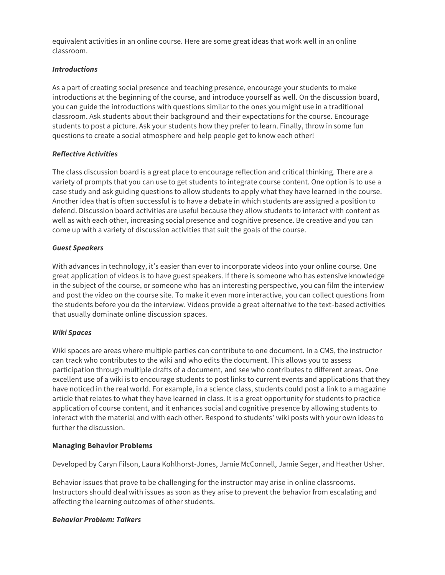equivalent activities in an online course. Here are some great ideas that work well in an online classroom.

## *Introductions*

As a part of creating social presence and teaching presence, encourage your students to make introductions at the beginning of the course, and introduce yourself as well. On the discussion board, you can guide the introductions with questions similar to the ones you might use in a traditional classroom. Ask students about their background and their expectations for the course. Encourage students to post a picture. Ask your students how they prefer to learn. Finally, throw in some fun questions to create a social atmosphere and help people get to know each other!

# *Reflective Activities*

The class discussion board is a great place to encourage reflection and critical thinking. There are a variety of prompts that you can use to get students to integrate course content. One option is to use a case study and ask guiding questions to allow students to apply what they have learned in the course. Another idea that is often successful is to have a debate in which students are assigned a position to defend. Discussion board activities are useful because they allow students to interact with content as well as with each other, increasing social presence and cognitive presence. Be creative and you can come up with a variety of discussion activities that suit the goals of the course.

# *Guest Speakers*

With advances in technology, it's easier than ever to incorporate videos into your online course. One great application of videos is to have guest speakers. If there is someone who has extensive knowledge in the subject of the course, or someone who has an interesting perspective, you can film the interview and post the video on the course site. To make it even more interactive, you can collect questions from the students before you do the interview. Videos provide a great alternative to the text-based activities that usually dominate online discussion spaces.

#### *Wiki Spaces*

Wiki spaces are areas where multiple parties can contribute to one document. In a CMS, the instructor can track who contributes to the wiki and who edits the document. This allows you to assess participation through multiple drafts of a document, and see who contributes to different areas. One excellent use of a wiki is to encourage students to post links to current events and applications that they have noticed in the real world. For example, in a science class, students could post a link to a magazine article that relates to what they have learned in class. It is a great opportunity for students to practice application of course content, and it enhances social and cognitive presence by allowing students to interact with the material and with each other. Respond to students' wiki posts with your own ideas to further the discussion.

#### **Managing Behavior Problems**

Developed by Caryn Filson, Laura Kohlhorst-Jones, Jamie McConnell, Jamie Seger, and Heather Usher.

Behavior issues that prove to be challenging for the instructor may arise in online classrooms. Instructors should deal with issues as soon as they arise to prevent the behavior from escalating and affecting the learning outcomes of other students.

#### *Behavior Problem: Talkers*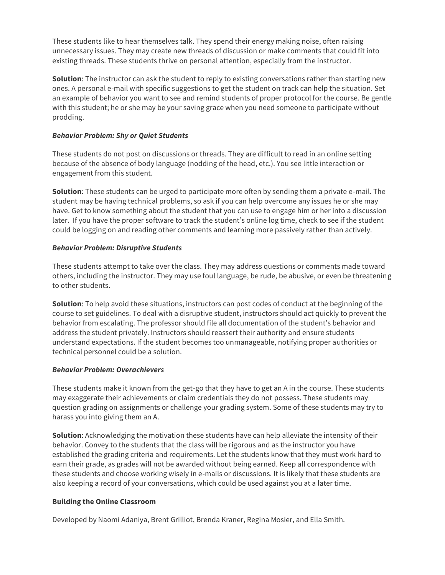These students like to hear themselves talk. They spend their energy making noise, often raising unnecessary issues. They may create new threads of discussion or make comments that could fit into existing threads. These students thrive on personal attention, especially from the instructor.

**Solution**: The instructor can ask the student to reply to existing conversations rather than starting new ones. A personal e-mail with specific suggestions to get the student on track can help the situation. Set an example of behavior you want to see and remind students of proper protocol for the course. Be gentle with this student; he or she may be your saving grace when you need someone to participate without prodding.

# *Behavior Problem: Shy or Quiet Students*

These students do not post on discussions or threads. They are difficult to read in an online setting because of the absence of body language (nodding of the head, etc.). You see little interaction or engagement from this student.

**Solution**: These students can be urged to participate more often by sending them a private e-mail. The student may be having technical problems, so ask if you can help overcome any issues he or she may have. Get to know something about the student that you can use to engage him or her into a discussion later. If you have the proper software to track the student's online log time, check to see if the student could be logging on and reading other comments and learning more passively rather than actively.

# *Behavior Problem: Disruptive Students*

These students attempt to take over the class. They may address questions or comments made toward others, including the instructor. They may use foul language, be rude, be abusive, or even be threatening to other students.

**Solution**: To help avoid these situations, instructors can post codes of conduct at the beginning of the course to set guidelines. To deal with a disruptive student, instructors should act quickly to prevent the behavior from escalating. The professor should file all documentation of the student's behavior and address the student privately. Instructors should reassert their authority and ensure students understand expectations. If the student becomes too unmanageable, notifying proper authorities or technical personnel could be a solution.

#### *Behavior Problem: Overachievers*

These students make it known from the get-go that they have to get an A in the course. These students may exaggerate their achievements or claim credentials they do not possess. These students may question grading on assignments or challenge your grading system. Some of these students may try to harass you into giving them an A.

**Solution**: Acknowledging the motivation these students have can help alleviate the intensity of their behavior. Convey to the students that the class will be rigorous and as the instructor you have established the grading criteria and requirements. Let the students know that they must work hard to earn their grade, as grades will not be awarded without being earned. Keep all correspondence with these students and choose working wisely in e-mails or discussions. It is likely that these students are also keeping a record of your conversations, which could be used against you at a later time.

# **Building the Online Classroom**

Developed by Naomi Adaniya, Brent Grilliot, Brenda Kraner, Regina Mosier, and Ella Smith.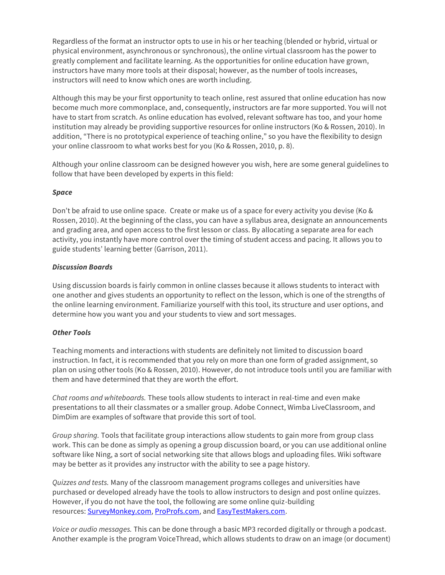Regardless of the format an instructor opts to use in his or her teaching (blended or hybrid, virtual or physical environment, asynchronous or synchronous), the online virtual classroom has the power to greatly complement and facilitate learning. As the opportunities for online education have grown, instructors have many more tools at their disposal; however, as the number of tools increases, instructors will need to know which ones are worth including.

Although this may be your first opportunity to teach online, rest assured that online education has now become much more commonplace, and, consequently, instructors are far more supported. You will not have to start from scratch. As online education has evolved, relevant software has too, and your home institution may already be providing supportive resources for online instructors (Ko & Rossen, 2010). In addition, "There is no prototypical experience of teaching online," so you have the flexibility to design your online classroom to what works best for you (Ko & Rossen, 2010, p. 8).

Although your online classroom can be designed however you wish, here are some general guidelines to follow that have been developed by experts in this field:

#### *Space*

Don't be afraid to use online space. Create or make us of a space for every activity you devise (Ko & Rossen, 2010). At the beginning of the class, you can have a syllabus area, designate an announcements and grading area, and open access to the first lesson or class. By allocating a separate area for each activity, you instantly have more control over the timing of student access and pacing. It allows you to guide students' learning better (Garrison, 2011).

#### *Discussion Boards*

Using discussion boards is fairly common in online classes because it allows students to interact with one another and gives students an opportunity to reflect on the lesson, which is one of the strengths of the online learning environment. Familiarize yourself with this tool, its structure and user options, and determine how you want you and your students to view and sort messages.

# *Other Tools*

Teaching moments and interactions with students are definitely not limited to discussion board instruction. In fact, it is recommended that you rely on more than one form of graded assignment, so plan on using other tools (Ko & Rossen, 2010). However, do not introduce tools until you are familiar with them and have determined that they are worth the effort.

*Chat rooms and whiteboards.* These tools allow students to interact in real-time and even make presentations to all their classmates or a smaller group. Adobe Connect, Wimba LiveClassroom, and DimDim are examples of software that provide this sort of tool.

*Group sharing.* Tools that facilitate group interactions allow students to gain more from group class work. This can be done as simply as opening a group discussion board, or you can use additional online software like Ning, a sort of social networking site that allows blogs and uploading files. Wiki software may be better as it provides any instructor with the ability to see a page history.

*Quizzes and tests.* Many of the classroom management programs colleges and universities have purchased or developed already have the tools to allow instructors to design and post online quizzes. However, if you do not have the tool, the following are some online quiz-building resources: [SurveyMonkey.com,](https://nam05.safelinks.protection.outlook.com/?url=http%3A%2F%2Fsurveymonkey.com%2F&data=02%7C01%7Cjoeg%40pitt.edu%7C78efc7e57134432fc4dd08d7c7b57ec7%7C9ef9f489e0a04eeb87cc3a526112fd0d%7C1%7C0%7C637197454640105652&sdata=n8nfhZeecV6YG0XcBQ3jRcRw7kEZMQblnNW0%2BghficM%3D&reserved=0) [ProProfs.com,](https://nam05.safelinks.protection.outlook.com/?url=http%3A%2F%2Fproprofs.com%2F&data=02%7C01%7Cjoeg%40pitt.edu%7C78efc7e57134432fc4dd08d7c7b57ec7%7C9ef9f489e0a04eeb87cc3a526112fd0d%7C1%7C0%7C637197454640115645&sdata=0leuLcMvGtYSuLT1LyrPrW2OZLoyNeZgG3BJhcBNuvs%3D&reserved=0) and [EasyTestMakers.com.](https://nam05.safelinks.protection.outlook.com/?url=http%3A%2F%2Feasytestmakers.com%2F&data=02%7C01%7Cjoeg%40pitt.edu%7C78efc7e57134432fc4dd08d7c7b57ec7%7C9ef9f489e0a04eeb87cc3a526112fd0d%7C1%7C0%7C637197454640115645&sdata=9cPw40bc3gPM13fThBJLS5xK8Qyvro%2BqinboI3fwups%3D&reserved=0)

*Voice or audio messages.* This can be done through a basic MP3 recorded digitally or through a podcast. Another example is the program VoiceThread, which allows students to draw on an image (or document)